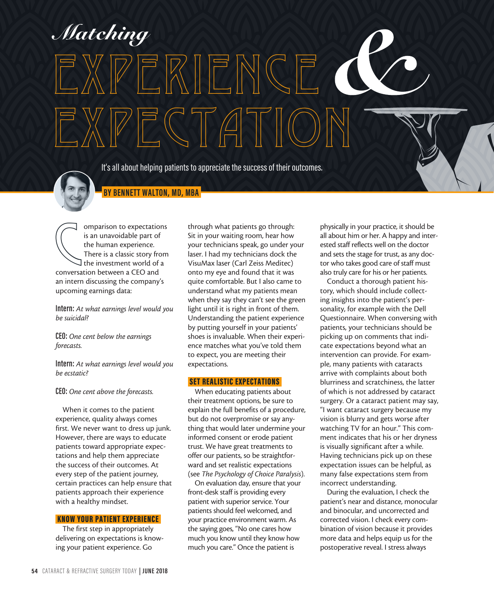<sup>s</sup> **WHITE GLOVE SERVICE** *Matching*

It's all about helping patients to appreciate the success of their outcomes.

EXPECTATION

EXPERIENCE



 **BY BENNETT WALTON, MD, MBA** 

omparison to expectation<br>is an unavoidable part of<br>the human experience.<br>There is a classic story from<br>the investment world of<br>conversation between a CEO and omparison to expectations is an unavoidable part of the human experience. There is a classic story from  $\mathsf{\overline{J}}$  the investment world of a an intern discussing the company's upcoming earnings data:

**Intern:** *At what earnings level would you be suicidal?*

**CEO:** *One cent below the earnings forecasts.*

**Intern:** *At what earnings level would you be ecstatic?*

**CEO:** *One cent above the forecasts.*

When it comes to the patient experience, quality always comes first. We never want to dress up junk. However, there are ways to educate patients toward appropriate expectations and help them appreciate the success of their outcomes. At every step of the patient journey, certain practices can help ensure that patients approach their experience with a healthy mindset.

### KNOW YOUR PATIENT EXPERIENCE

The first step in appropriately delivering on expectations is knowing your patient experience. Go

through what patients go through: Sit in your waiting room, hear how your technicians speak, go under your laser. I had my technicians dock the VisuMax laser (Carl Zeiss Meditec) onto my eye and found that it was quite comfortable. But I also came to understand what my patients mean when they say they can't see the green light until it is right in front of them. Understanding the patient experience by putting yourself in your patients' shoes is invaluable. When their experience matches what you've told them to expect, you are meeting their expectations.

#### SET REALISTIC EXPECTATIONS

When educating patients about their treatment options, be sure to explain the full benefits of a procedure, but do not overpromise or say anything that would later undermine your informed consent or erode patient trust. We have great treatments to offer our patients, so be straightforward and set realistic expectations (see *The Psychology of Choice Paralysis*).

On evaluation day, ensure that your front-desk staff is providing every patient with superior service. Your patients should feel welcomed, and your practice environment warm. As the saying goes, "No one cares how much you know until they know how much you care." Once the patient is

physically in your practice, it should be all about him or her. A happy and interested staff reflects well on the doctor and sets the stage for trust, as any doctor who takes good care of staff must also truly care for his or her patients.

Conduct a thorough patient history, which should include collecting insights into the patient's personality, for example with the Dell Questionnaire. When conversing with patients, your technicians should be picking up on comments that indicate expectations beyond what an intervention can provide. For example, many patients with cataracts arrive with complaints about both blurriness and scratchiness, the latter of which is not addressed by cataract surgery. Or a cataract patient may say, "I want cataract surgery because my vision is blurry and gets worse after watching TV for an hour." This comment indicates that his or her dryness is visually significant after a while. Having technicians pick up on these expectation issues can be helpful, as many false expectations stem from incorrect understanding.

During the evaluation, I check the patient's near and distance, monocular and binocular, and uncorrected and corrected vision. I check every combination of vision because it provides more data and helps equip us for the postoperative reveal. I stress always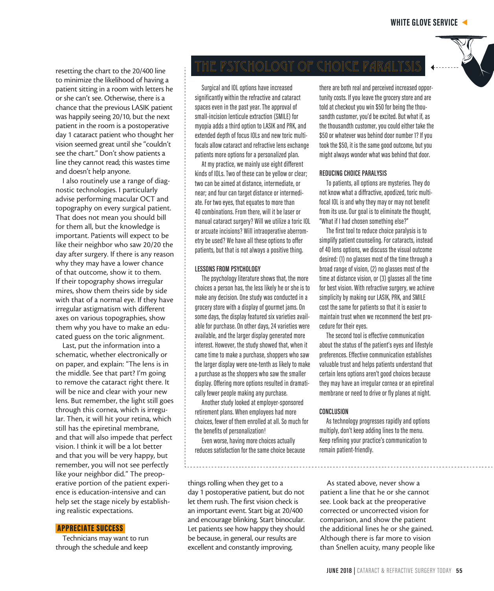resetting the chart to the 20/400 line to minimize the likelihood of having a patient sitting in a room with letters he or she can't see. Otherwise, there is a chance that the previous LASIK patient was happily seeing 20/10, but the next patient in the room is a postoperative day 1 cataract patient who thought her vision seemed great until she "couldn't see the chart." Don't show patients a line they cannot read; this wastes time and doesn't help anyone.

I also routinely use a range of diagnostic technologies. I particularly advise performing macular OCT and topography on every surgical patient. That does not mean you should bill for them all, but the knowledge is important. Patients will expect to be like their neighbor who saw 20/20 the day after surgery. If there is any reason why they may have a lower chance of that outcome, show it to them. If their topography shows irregular mires, show them theirs side by side with that of a normal eye. If they have irregular astigmatism with different axes on various topographies, show them why you have to make an educated guess on the toric alignment.

Last, put the information into a schematic, whether electronically or on paper, and explain: "The lens is in the middle. See that part? I'm going to remove the cataract right there. It will be nice and clear with your new lens. But remember, the light still goes through this cornea, which is irregular. Then, it will hit your retina, which still has the epiretinal membrane, and that will also impede that perfect vision. I think it will be a lot better and that you will be very happy, but remember, you will not see perfectly like your neighbor did." The preoperative portion of the patient experience is education-intensive and can help set the stage nicely by establishing realistic expectations.

#### APPRECIATE SUCCESS

Technicians may want to run through the schedule and keep

# THE PSYCHOLOGY OF CHOICE PARALYSI

Surgical and IOL options have increased significantly within the refractive and cataract spaces even in the past year. The approval of small-incision lenticule extraction (SMILE) for myopia adds a third option to LASIK and PRK, and extended depth of focus IOLs and new toric multifocals allow cataract and refractive lens exchange patients more options for a personalized plan.

At my practice, we mainly use eight different kinds of IOLs. Two of these can be yellow or clear; two can be aimed at distance, intermediate, or near; and four can target distance or intermediate. For two eyes, that equates to more than 40 combinations. From there, will it be laser or manual cataract surgery? Will we utilize a toric IOL or arcuate incisions? Will intraoperative aberrometry be used? We have all these options to offer patients, but that is not always a positive thing.

#### **LESSONS FROM PSYCHOLOGY**

The psychology literature shows that, the more choices a person has, the less likely he or she is to make any decision. One study was conducted in a grocery store with a display of gourmet jams. On some days, the display featured six varieties available for purchase. On other days, 24 varieties were available, and the larger display generated more interest. However, the study showed that, when it came time to make a purchase, shoppers who saw the larger display were one-tenth as likely to make a purchase as the shoppers who saw the smaller display. Offering more options resulted in dramatically fewer people making any purchase.

Another study looked at employer-sponsored retirement plans. When employees had more choices, fewer of them enrolled at all. So much for the benefits of personalization!

Even worse, having more choices actually reduces satisfaction for the same choice because

things rolling when they get to a day 1 postoperative patient, but do not let them rush. The first vision check is an important event. Start big at 20/400 and encourage blinking. Start binocular. Let patients see how happy they should be because, in general, our results are excellent and constantly improving.

there are both real and perceived increased opportunity costs. If you leave the grocery store and are told at checkout you win \$50 for being the thousandth customer, you'd be excited. But what if, as the thousandth customer, you could either take the \$50 or whatever was behind door number 1? If you took the \$50, it is the same good outcome, but you might always wonder what was behind that door.

#### **REDUCING CHOICE PARALYSIS**

To patients, all options are mysteries. They do not know what a diffractive, apodized, toric multifocal IOL is and why they may or may not benefit from its use. Our goal is to eliminate the thought, "What if I had chosen something else?"

The first tool to reduce choice paralysis is to simplify patient counseling. For cataracts, instead of 40 lens options, we discuss the visual outcome desired: (1) no glasses most of the time through a broad range of vision, (2) no glasses most of the time at distance vision, or (3) glasses all the time for best vision. With refractive surgery, we achieve simplicity by making our LASIK, PRK, and SMILE cost the same for patients so that it is easier to maintain trust when we recommend the best procedure for their eyes.

The second tool is effective communication about the status of the patient's eyes and lifestyle preferences. Effective communication establishes valuable trust and helps patients understand that certain lens options aren't good choices because they may have an irregular cornea or an epiretinal membrane or need to drive or fly planes at night.

#### **CONCLUSION**

As technology progresses rapidly and options multiply, don't keep adding lines to the menu. Keep refining your practice's communication to remain patient-friendly.

As stated above, never show a patient a line that he or she cannot see. Look back at the preoperative corrected or uncorrected vision for comparison, and show the patient the additional lines he or she gained. Although there is far more to vision than Snellen acuity, many people like